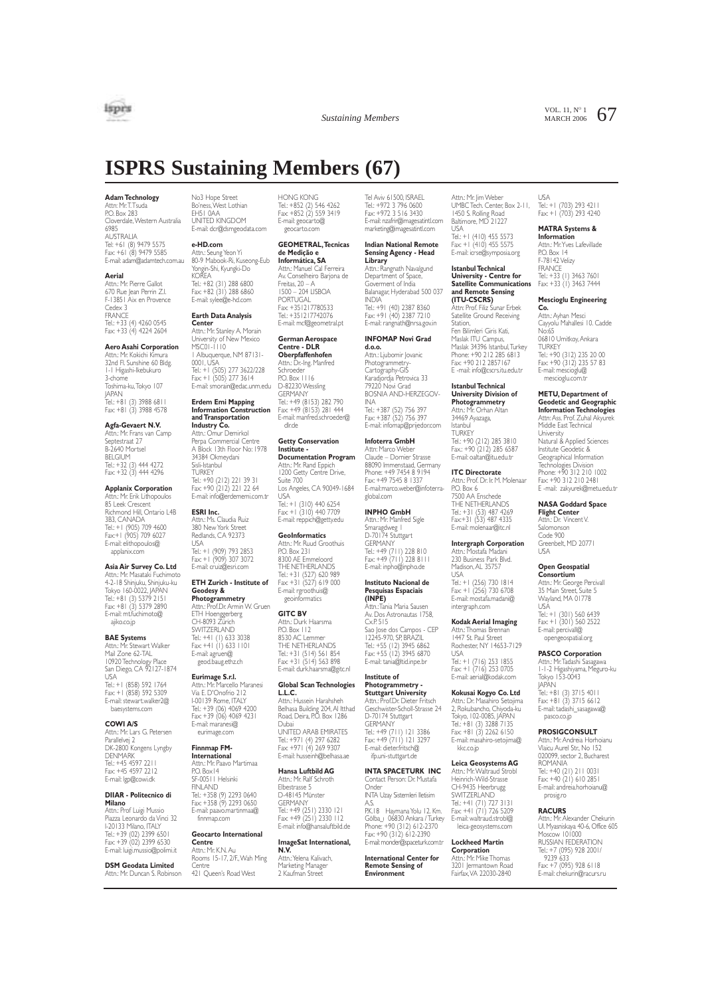

VOL. 11,  $N^{\circ}$  1 67

# **ISPRS Sustaining Members (67)**

#### **Adam Technology**

Attn: Mr. I. I suda<br>P.O. Box 283 Cloverdale,Western Australia 6985 AUSTRALIA Tel: +61 (8) 9479 5575 Fax: +61 (8) 9479 5585 E-mail: adam@adamtech.com.au

#### **Aerial**

Attn.: Mr. Pierre Gallot 670 Rue Jean Perrin Z.I. F-13851 Aix en Provence Cedex 3 **FRANCE** Tel.: +33 (4) 4260 0545 Fax: +33 (4) 4224 2604

#### **Aero Asahi Corporation**

Attn.: Mr. Kokichi Kimura 32nd Fl. Sunshine 60 Bldg. 1-1 Higashi-Ikebukuro 3-chome Toshima-ku,Tokyo 107 JAPAN Tel.: +81 (3) 3988 6811 Fax: +81 (3) 3988 4578

**Agfa-Gevaert N.V.** Attn.: Mr. Frans van Camp Septestraat 27 B-2640 Mortsel BELGIUM Tel.: +32 (3) 444 4272 Fax: +32 (3) 444 4296

#### **Applanix Corporation**

Attn.: Mr. Erik Lithopoulos 85 Leek Crescent Richmond Hill, Ontario L4B 3B3, CANADA Tel.: +1 (905) 709 4600 Fax:+1 (905) 709 6027 E-mail: elithopoulos@ applanix.com

### **Asia Air Survey Co. Ltd**

Attn.: Mr. Masataki Fuchimoto 4-2-18 Shinjuku, Shinjuku-ku Tokyo 160-0022, JAPAN Tel.: +81 (3) 5379 2151 Fax: +81 (3) 5379 2890 E-mail: mt.fuchimoto@ ajiko.co.jp

#### **BAE Systems**

Attn.: Mr. Stewart Walker Mail Zone 62-TAL 10920 Iechnology Place<br>San Diego, CA 92127-1874 USA Tel.: +1 (858) 592 1764 Fax: +1 (858) 592 5309 E-mail: stewart.walker2@

### baesystems.com **COWI A/S**

Attn.: Mr. Lars G. Petersen Parallelvej 2 DK-2800 Kongens Lyngby **DENMARK** Tel.: +45 4597 2211 Fax: +45 4597 2212 E-mail: lgp@cowi.dk

# **DIIAR - Politecnico di**

**Milano** Attn.: Prof Luigi Mussio Piazza Leonardo da Vinci 32 I-20133 Milano, ITALY Tel.: +39 (02) 2399 6501 Fax: +39 (02) 2399 6530 E-mail: luigi.mussio@polimi.it

#### **DSM Geodata Limited** Attn.: Mr. Duncan S. Robinson

No3 Hope Street Bo'ness,West Lothian EH51 0AA UNITED KINGDOM E-mail: dcr@dsmgeodata.com

**e-HD.com** Attn.: Seung Yeon Yi 80-9 Mabook-Ri, Kuseong-Eub Yongin-Shi, Kyungki-Do

KOREA Tel.: +82 (31) 288 6800 Fax: +82 (31) 288 6860 E-mail: sylee@e-hd.com

# **Earth Data Analysis**

**Center** Attn.: Mr. Stanley A. Morain University of New Mexico MSC01-1110 1 Albuquerque, NM 87131- 0001, USA 1el.: +1 (505) 2// 3622/228<br>Fax: +1 (505) 277 3614<br>E-mail: smorain@edac.unm.edu

**Erdem Emi Mapping Information Construction and Transportation**

**Industry Co.**<br>Attn.: Omur Demirkol<br>Perpa Commercial Centre<br>A Block 13th Floor No: 1978 34384 Okmeydani Sisli-Istanbul **TURKEY** Tel.: +90 (212) 221 39 31 Fax: +90 (212) 221 22 64 E-mail: info@erdem

### **ESRI Inc.** Attn.: Ms. Claudia Ruiz 380 New York Street Redlands, CA 92373 USA Tel.: +1 (909) 793 2853 Fax: +1 (909) 307 3072

E-mail: cruiz@esri.com **ETH Zurich - Institute of Geodesy & Photogrammetry** Attn.: Prof.Dr. Armin W. Gruen ETH Hoenggerberg CH-8093 Zürich SWITZERLAND<br>Tel.: +41 (1) 633 3038<br>Fax: +41 (1) 633 1101<br>E-mail: agruen@ geod.baug.ethz.ch

### **Eurimage S.r.l.**

Attn.: Mr. Marcello Maranesi Via E. D'Onofrio 212 I-00139 Rome, ITALY Tel.: +39 (06) 4069 4200 Fax: +39 (06) 4069 4231 E-mail: maranesi@ eurimage.com

### **Finnmap FM-**

**International** Attn.: Mr. Paavo Martimaa P.O. Box14 SF-00511 Helsinki FINLAND Tel.: +358 (9) 2293 0640 Fax: +358 (9) 2293 0650 E-mail: paavo.martinmaa@

# finnmap.com **Geocarto International Centre** Attn.: Mr. K.N. Au

Rooms 15-17, 2/F.,Wah Ming Centre 421 Queen's Road West

HONG KONG Tel.: +852 (2) 546 4262 Fax: +852 (2) 559 3419 E-mail: geocarto@ geocarto.com

### **GEOMETRAL,Tecnicas de Medição e**

**Informática, SA**<br>Attn.: Manuel Cal Ferreira<br>Av. Conselheiro Barjona de Freitas, 20 – A 1500 – 204 LISBOA PORTUGAL Fax: +351217780533 Tel.: +351217742076 E-mail: mcf@geometral.pt

#### **German Aerospace Centre - DLR**

**Oberpfaffenhofen** Attn.: Dr.-Ing. Manfred Schroeder P.O. Box 1116 D-82230 Wessling **GERMANIY** 

Tel.: +49 (8153) 282 790 Fax: +49 (8153) 281 444 E-mail: manfred.schroeder@ dlr.de

#### **Getty Conservation Institute -**

**Documentation Program** Attn.: Mr. Rand Eppich 1200 Getty Centre Drive, Suite 700 Los Angeles, CA 90049-1684 USA Tel.: +1 (310) 440 6254 Fax: +1 (310) 440 7709

#### **GeoInformatics**

Attn.: Mr. Ruud Groothuis P.O. Box 231 8300 AE Emmeloord THE NETHERLANDS Tel.: +31 (527) 620 989 Fax: +31 (527) 619 000 E-mail: rgroothuis@ geoinformatics

E-mail: reppich@getty.edu

# **GITC BV**

Attn.: Durk Haarsma P.O. Box 112 8530 AC Lemmer THE NETHERLANDS Tel.: +31 (514) 561 854 Fax: +31 (514) 563 898 E-mail: durk.haarsma@gitc.nl

#### **Global Scan Technologies L.L.C.**

Attn.: Hussein Harahsheh Belhasa Building 204, Al Itthad Road, Deira, P.O. Box 1286 Dubai UNITED ARAB EMIRATES

Tel.: +971 (4) 297 6282 Fax: +971 (4) 269 9307 E-mail: husseinh@belhasa.ae

### **Hansa Luftbild AG**

Attn.: Mr. Ralf Schroth Elbestrasse 5 D-48145 Münster GERMANY Tel.: +49 (251) 2330 121 Fax: +49 (251) 2330 112 E-mail: info@hansaluftbild.de

# **ImageSat International, N.V.**

Attn.:Yelena Kalivach, Marketing Manager 2 Kaufman Street

Tel Aviv 61500, ISRAEL Tel.: +972 3 796 0600 Fax: +972 3 516 3430 E-mail: nzafrir@imagesatintl.com marketing@imagesatintl.com

### **Indian National Remote Sensing Agency - Head Library** Attn.: Rangnath Navalgund

Department of Space, Goverment of India Balanagar, Hyderabad 500 037 INDIA Tel.: +91 (40) 2387 8360 Fax: +91 (40) 2387 7210 E-mail: rangnath@nrsa.gov.in

#### **INFOMAP Novi Grad**

**d.o.o.** Attn.: Ljubomir Jovanic Photogrammetr<sup>y</sup> Cartography-GIS Karadjordja Petrovica 33 79220 Novi Grad BOSNIA AND-HERZEGOV-INA Tel.: +387 (52) 756 397 Fax: +387 (52) 756 397 E-mail: infomap@prijedor.com

#### **Infoterra GmbH**

Attn: Marco Weber Claude – Dornier Strasse 88090 Immenstaad, Germany Phone: +49 7454 8 9194 Fax: +49 7545 8 1337 E-mail:marco.weber@infoterraglobal.com

#### **INPHO GmbH**

Attn.: Mr. Manfred Sigle Smaragdweg 1 D-70174 Stuttgart GERMANY Tel.: +49 (711) 228 810 Fax: +49 (711) 228 8111 E-mail: inpho@inpho.de

### **Instituto Nacional de Pesquisas Espaciais**

**(INPE)**<br>Attn.:Tania Maria Sausen<br>Av. Dos Astronautas 1758,<br>Cx.P. 515 Sao Jose dos Campos - CEP 12245-970, SP, BRAZIL Tel.: +55 (12) 3945 6862 Fax: +55 (12) 3945 6870 E-mail: tania@ltid.inpe.br

#### **Institute of Photogrammetry -**

**Stuttgart University**<br>Attn.: Prof.Dr. Dieter Fritsch Geschwister-Scholl-Strasse 24 D-70174 Stuttgart GERMANY Tel.: +49 (711) 121 3386 Fax: +49 (711) 121 3297 E-mail: dieter.fritsch@ ifp.uni-stuttgart.de

#### **INTA SPACETURK INC**

Contact Person: Dr. Mustafa Onder INTA Uzay Sistemleri Iletisim A.S. P.K.18 Haymana Yolu 12. Km. Gölba\_ı 06830 Ankara / Turkey Phone: +90 (312) 612-2370 Fax: +90 (312) 612-2390

#### E-mail: monder@spaceturk.com.tr **International Center for Remote Sensing of Environment**

Attn.: Mr. Jim Weber UMBC Tech. Center, Box 2-11, 1450 S. Rolling Road Baltimore, MD 21227

USA Tel.: +1 (410) 455 5573 Fax: +1 (410) 455 5575 E-mail: icrse@symposia.org

**Istanbul Technical University - Centre for Satellite Communications and Remote Sensing (ITU-CSCRS)** Attn: Prof. Filiz Sunar Erbek Satellite Ground Receiving

Station, Fen Bilimleri Giris Kati,

Maslak ITU Campus, Maslak 34396 Istanbul,Turkey Phone: +90 212 285 6813 Fax: +90 212 2857167 E -mail: info@cscrs.itu.edu.tr

#### **Istanbul Technical University Division of**

**Photogrammetry**  Attn.: Mr. Orhan Altan 34469 Ayazaga, Istanbul TURKEY Tel.: +90 (212) 285 3810 Fax.: +90 (212) 285 6587 E-mail: oaltan@itu.edu.tr

**ITC Directorate** Attn.: Prof. Dr. Ir. M. Molenaar P.O. Box 6 7500 AA Enschede THE NETHERLANDS Tel.: +31 (53) 487 4269 Fax:+31 (53) 487 4335 E-mail: molenaar@itc.nl

**Intergraph Corporation** Attn.: Mostafa Madani 230 Business Park Blvd. Madison, AL 35757 USA Tel.: +1 (256) 730 1814

Fax: +1 (256) 730 6708 E-mail: mostafa.madani@ intergraph.com

**Kodak Aerial Imaging** Attn.: I homas Brennan<br>1447 St. Paul Street

Rochester, NY 14653-7129 USA Tel.: +1 (716) 253 1855 Fax: +1 (716) 253 0705 E-mail: aerial@kodak.com

#### **Kokusai Kogyo Co. Ltd**

Attn.: Dr. Masahiro Setojima 2, Rokubancho, Chiyoda-ku Tokyo, 102-0085, JAPAN Tel.: +81 (3) 3288 7135 Fax: +81 (3) 2262 6150 E-mail: masahiro-setojima@ kkc.co.jp

# **Leica Geosystems AG**

Attn.: Mr. Waltraud Strob Authority Wald-Strasse CH-9435 Heerbrugg SWITZERLAND Tel.: +41 (71) 727 3131 Fax: +41 (71) 726 5209 E-mail: waltraud.strobl@ leica-geosystems.com

# **Lockheed Martin**

**Corporation** Attn.: Mr. Mike Thomas 3201 Jermantown Road Fairfax,VA 22030-2840 USA Tel.: +1 (703) 293 4211 Fax: +1 (703) 293 4240

#### **MATRA Systems &**

**Information** Attn.: Mr.Yves Lafevillade P.O. Box 14 F-78142 Velizy FRANCE Tel.: +33 (1) 3463 7601 Fax: +33 (1) 3463 7444

#### **Mescioglu Engineering**

**Co.** Attn.: Ayhan Mesci Cayyolu Mahallesi 10. Cadde No:65 06810 Umitkoy, Ankara **TURKEY** Tel.: +90 (312) 235 20 00 Fax: +90 (312) 235 57 83 E-mail: mescioglu@ mescioglu.com.t

**METU, Department of Geodetic and Geographic Information Technologies**  Attn: Ass. Prof. Zuhal Akyurek Middle East Technical University Natural & Applied Sciences Institute Geodetic &

Geographical Information Technologies Division Phone: +90 312 210 1002 Fax: +90 312 210 2481 E -mail: zakyurek@metu.edu.tr

### **NASA Goddard Space**

**Flight Center** Attn.: Dr. Vincent V. Salomonson Code 900 Greenbelt, MD 20771 USA

**Open Geospatial Consortium** Attn.: Mr. George Percivall 35 Main Street, Suite 5 Wayland, MA 01778

USA Tel.: +1 (301) 560 6439 Fax: +1 (301) 560 2522 E-mail: percivall@ opengeospatial.org **PASCO Corporation** Attn.: Mr. Iadashi Sasagawa<br>1-1-2 Higashiyama, Meguro-ku<br>Tokyo 153-0043<br>JAPAN

Tel.: +81 (3) 3715 4011 Fax: +81 (3) 3715 6612 E-mail: tadashi\_sasagawa@ pasco.co.jp **PROSIGCONSULT** Attn.: Mr. Andreia Horhoianu Vlaicu Aurel Str., No 152 020099, sector 2, Bucharest ROMANIA Tel.: +40 (21) 211 0031 Fax: +40 (21) 610 2851 E-mail: andreia.horhoianu@ prosig.ro **RACURS**

Attn.: Mr. Alexander Chekurin Ul. Myasniskaya 40-6, Office 605 Moscow 101000 RUSSIAN FEDERATION Tel.: +7 (095) 928 2001/  $9239 633$ Fax: +7 (095) 928 6118 E-mail: chekurin@racurs.ru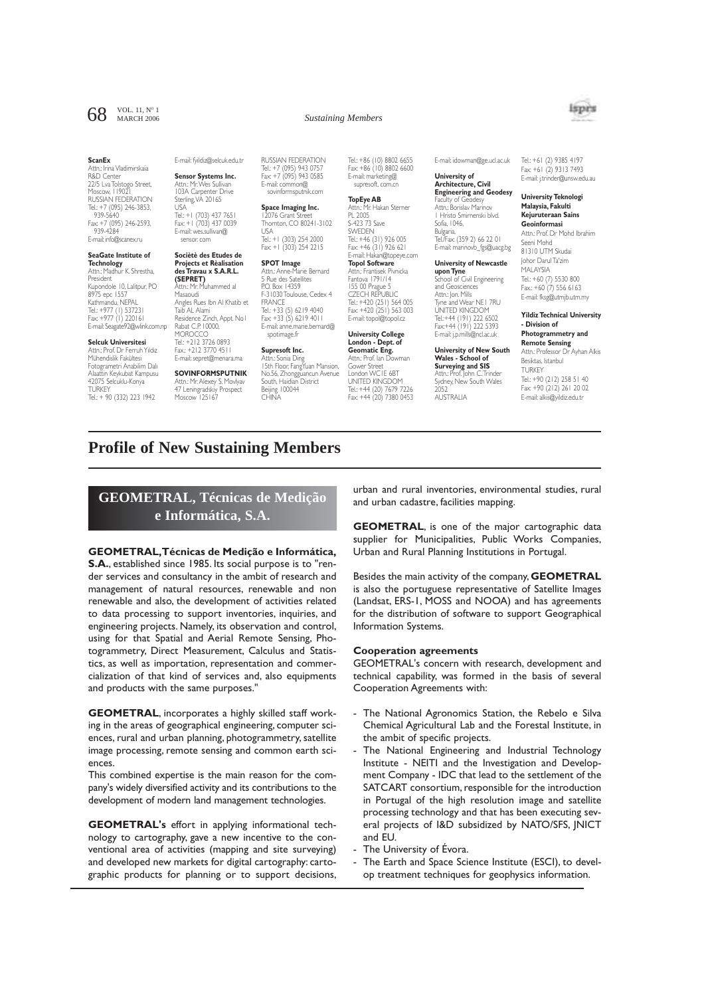# 68 VOL. 11,  $N^{\circ}$  1

Attn.: Irina Vladimirskaia R&D Center 22/5 Lva Tolstogo Street, Moscow, 119021 RUSSIAN FEDERATION Tel.: +7 (095) 246-3853, 939-5640 Fax: +7 (095) 246-2593, 939-4284 E-mail: info@scanex.ru

**ScanEx**

# **SeaGate Institute of**

**Technology**<br>Attn.: Madhur K. Shrestha,<br>President<br>Kupondole 10, Lalitpur, PO 8975 epc 1557 Kathmandu, NEPAL Tel.: +977 (1) 537231 Fax: +977 (1) 220161 E-mail: Seagate92@wlink.com.np

### **Selcuk Universitesi**

Attn.: Prof. Dr Ferruh Yıldız Mühendislik Fakültesi Fotogrametri Anabilim Dalı Alaattin Keykubat Kampusu 42075 Selcuklu-Konya TURKEY Tel.: + 90 (332) 223 1942

# E-mail: fyildiz@selcuk.edu.tr

**Sensor Systems Inc.** Attn.: Mr.Wes Sullivan 103A Carpenter Drive Sterling,VA 20165 USA Tel.: +1 (703) 437 7651 Fax: +1 (703) 437 0039 E-mail: wes.sullivan@

sensor. com

#### **Sociètè des Etudes de Projects et Rèalisation des Travau x S.A.R.L. (SEPRET)** Attn.: Mr. Muhammed al Masaoudi Angles Rues Ibn Al Khatib et Taib AL Alami Residence Zinch, Appt. No1 Rabat C.P. 10000,

**MOROCCO** Tel.: +212 3726 0893 Fax.: +212 3770 4511 E-mail: sepret@menara.ma

# **SOVINFORMSPUTNIK**

Attn.: Mr. Alexey S. Movlyav 47 Leningradskiy Prospect Moscow 125167

RUSSIAN FEDERATION Tel.: +7 (095) 943 0757 Fax: +7 (095) 943 0585 E-mail: common@ sovinformsputnik.com

**Space Imaging Inc.** 12076 Grant Street Thornton, CO 80241-3102 USA Tel.: +1 (303) 254 2000

#### Fax: +1 (303) 254 2215 **SPOT Image** Attn.: Anne-Marie Bernard 5 Rue des Satellites P.O. Box 14359 F-31030 Toulouse, Cedex 4 FRANCE Tel.: +33 (5) 6219 4040 Fax: +33 (5) 6219 4011 E-mail: anne.marie.bernard@ spotimage.fr

#### **Supresoft Inc.** Sonia Ding

15th Floor, FangYuan Mansion, No.56, Zhongguancun Avenue South, Haidian District Beijing 100044 **CHINA** 

Tel.: +86 (10) 8802 6655 Fax: +86 (10) 8802 6600 E-mail: marketing@ supresoft. com.cn

**Sustaining Members** 

# **TopEye AB** Attn.: Mr. Hakan Sterner PL 2005 S-423 73 Save SWEDEN Tel.: +46 (31) 926 005 Fax: +46 (31) 926 621 E-mail: Hakan@topeye.com

**Topol Software** Attn.: Frantisek Pivnicka Fantova 1791/14 155 00 Prague 5 CZECH REPUBLIC Tel.: +420 (251) 564 005 Fax: +420 (251) 563 003 E-mail: topol@topol.cz

### **University College London - Dept. of Geomatic Eng.** Attn.: Prof. Ian Dowman Gower Street<br>London WCLE ART London WC1E 6BT UNITED KINGDOM Tel.: +44 (20) 7679 7226 Fax: +44 (20) 7380 0453

E-mail: idowman@ge.ucl.ac.uk

#### **University of Architecture, Civil Engineering and Geodesy**

Faculty of Geodesy Attn.: Borislav Marinov Hristo Smirnenski blvd. Sofia, 1046, Bulgaria, Tel./Fax: (359 2) 66 22 01 E-mail: marinovb\_fgs@uacg.bg

#### **University of Newcastle upon Tyne** School of Civil Engineering and Geosciences Attn.: Jon. Mills Tyne and Wear NE1 7RU UNITED KINGDOM Tel.:+44 (191) 222 6502 Fax:+44 (191) 222 5393 E-mail: j.p.mills@ncl.ac.uk

**University of New South Wales - School of Surveying and SIS** Attn.: Prof. John C.Trinder Sydney, New South Wales

2052 AUSTRALIA Tel.: +61 (2) 9385 4197 Fax: +61 (2) 9313 7493 E-mail: j.trinder@unsw.edu.au

#### **University Teknologi Malaysia, Fakulti Kejuruteraan Sains Geoinformasi**

Attn.: Prof. Dr Mohd Ibrahim Seeni Mohd 81310 UTM Skudai Johor Darul Ta'zim MALAYSIA

Tel.: +60 (7) 5530 800 Fax.: +60 (7) 556 6163 E-mail: fksg@utmjb.utm.my

#### **Yildiz Technical University - Division of Photogrammetry and Remote Sensing**

Attn.: Professor Dr Ayhan Alkis Besiktas, Istanbul TURKEY Tel.: +90 (212) 258 51 40 Fax: +90 (212) 261 20 02 E-mail: alkis@yildiz.edu.tr

# **Profile of New Sustaining Members**

# **GEOMETRAL, Técnicas de Medição e Informática, S.A.**

**GEOMETRAL,Técnicas de Medição e Informática, S.A.**, established since 1985. Its social purpose is to "render services and consultancy in the ambit of research and management of natural resources, renewable and non renewable and also, the development of activities related to data processing to support inventories, inquiries, and engineering projects. Namely, its observation and control, using for that Spatial and Aerial Remote Sensing, Photogrammetry, Direct Measurement, Calculus and Statistics, as well as importation, representation and commercialization of that kind of services and, also equipments and products with the same purposes."

**GEOMETRAL**, incorporates a highly skilled staff working in the areas of geographical engineering, computer sciences, rural and urban planning, photogrammetry, satellite image processing, remote sensing and common earth sciences.

This combined expertise is the main reason for the company's widely diversified activity and its contributions to the development of modern land management technologies.

**GEOMETRAL's** effort in applying informational technology to cartography, gave a new incentive to the conventional area of activities (mapping and site surveying) and developed new markets for digital cartography: cartographic products for planning or to support decisions,

urban and rural inventories, environmental studies, rural and urban cadastre, facilities mapping.

**GEOMETRAL**, is one of the major cartographic data supplier for Municipalities, Public Works Companies, Urban and Rural Planning Institutions in Portugal.

Besides the main activity of the company, **GEOMETRAL** is also the portuguese representative of Satellite Images (Landsat, ERS-1, MOSS and NOOA) and has agreements for the distribution of software to support Geographical Information Systems.

## **Cooperation agreements**

GEOMETRAL's concern with research, development and technical capability, was formed in the basis of several Cooperation Agreements with:

- The National Agronomics Station, the Rebelo e Silva Chemical Agricultural Lab and the Forestal Institute, in the ambit of specific projects.
- The National Engineering and Industrial Technology Institute - NEITI and the Investigation and Development Company - IDC that lead to the settlement of the SATCART consortium, responsible for the introduction in Portugal of the high resolution image and satellite processing technology and that has been executing several projects of I&D subsidized by NATO/SFS, JNICT and EU.
- The University of Évora.
- The Earth and Space Science Institute (ESCI), to develop treatment techniques for geophysics information.



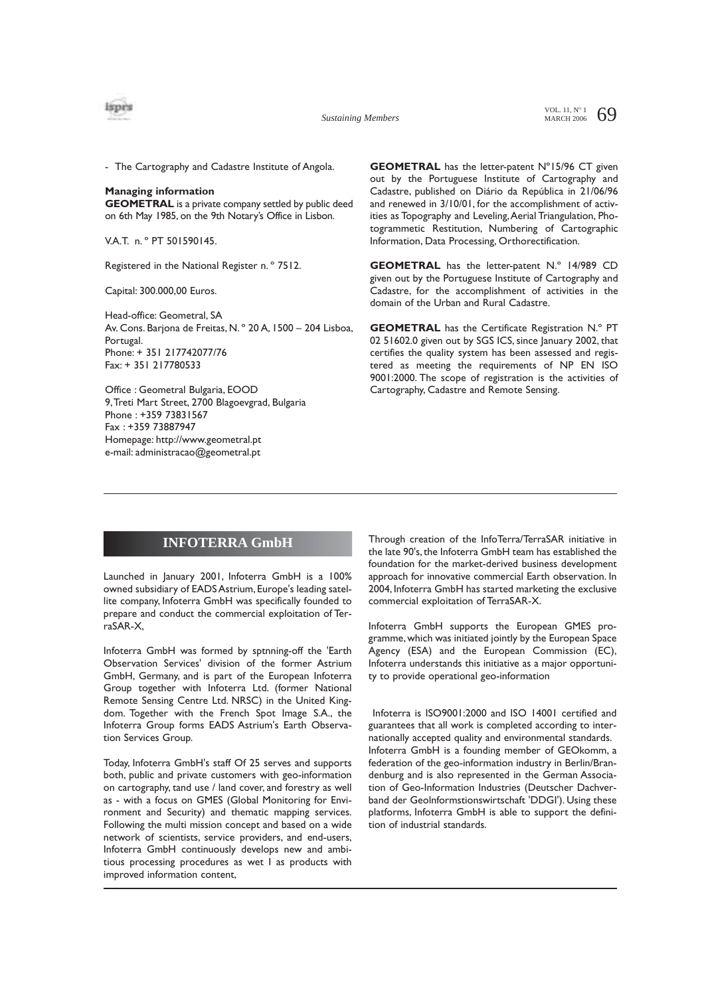

- The Cartography and Cadastre Institute of Angola.

#### **Managing information**

**GEOMETRAL** is a private company settled by public deed on 6th May 1985, on the 9th Notary's Office in Lisbon.

V.A.T. n. º PT 501590145.

Registered in the National Register n. º 7512.

Capital: 300.000,00 Euros.

Head-office: Geometral, SA Av. Cons. Barjona de Freitas, N. º 20 A, 1500 – 204 Lisboa, Portugal. Phone: + 351 217742077/76 Fax: + 351 217780533

Office : Geometral Bulgaria, EOOD 9,Treti Mart Street, 2700 Blagoevgrad, Bulgaria Phone : +359 73831567 Fax : +359 73887947 Homepage: http://www.geometral.pt e-mail: administracao@geometral.pt

**GEOMETRAL** has the letter-patent N°15/96 CT given out by the Portuguese Institute of Cartography and Cadastre, published on Diário da República in 21/06/96 and renewed in 3/10/01, for the accomplishment of activities as Topography and Leveling, Aerial Triangulation, Photogrammetic Restitution, Numbering of Cartographic Information, Data Processing, Orthorectification.

**GEOMETRAL** has the letter-patent N.º 14/989 CD given out by the Portuguese Institute of Cartography and Cadastre, for the accomplishment of activities in the domain of the Urban and Rural Cadastre.

**GEOMETRAL** has the Certificate Registration N.º PT 02 51602.0 given out by SGS ICS, since January 2002, that certifies the quality system has been assessed and registered as meeting the requirements of NP EN ISO 9001:2000. The scope of registration is the activities of Cartography, Cadastre and Remote Sensing.

# **INFOTERRA GmbH**

Launched in January 2001, Infoterra GmbH is a 100% owned subsidiary of EADS Astrium, Europe's leading satellite company, Infoterra GmbH was specifically founded to prepare and conduct the commercial exploitation of TerraSAR-X,

Infoterra GmbH was formed by sptnning-off the 'Earth Observation Services' division of the former Astrium GmbH, Germany, and is part of the European Infoterra Group together with Infoterra Ltd. (former National Remote Sensing Centre Ltd. NRSC) in the United Kingdom. Together with the French Spot Image S.A., the Infoterra Group forms EADS Astrium's Earth Observation Services Group.

Today, Infoterra GmbH's staff Of 25 serves and supports both, public and private customers with geo-information on cartography, tand use / land cover, and forestry as well as - with a focus on GMES (Global Monitoring for Environment and Security) and thematic mapping services. Following the multi mission concept and based on a wide network of scientists, service providers, and end-users, Infoterra GmbH continuously develops new and ambitious processing procedures as wet I as products with improved information content,

Through creation of the InfoTerra/TerraSAR initiative in the late 90's, the Infoterra GmbH team has established the foundation for the market-derived business development approach for innovative commercial Earth observation. In 2004, Infoterra GmbH has started marketing the exclusive commercial exploitation of TerraSAR-X.

Infoterra GmbH supports the European GMES programme, which was initiated jointly by the European Space Agency (ESA) and the European Commission (EC), Infoterra understands this initiative as a major opportunity to provide operational geo-information

Infoterra is ISO9001:2000 and ISO 14001 certified and guarantees that all work is completed according to internationally accepted quality and environmental standards. Infoterra GmbH is a founding member of GEOkomm, a federation of the geo-information industry in Berlin/Brandenburg and is also represented in the German Association of Geo-Information Industries (Deutscher Dachverband der Geolnformstionswirtschaft 'DDGI'). Using these platforms, Infoterra GmbH is able to support the definition of industrial standards.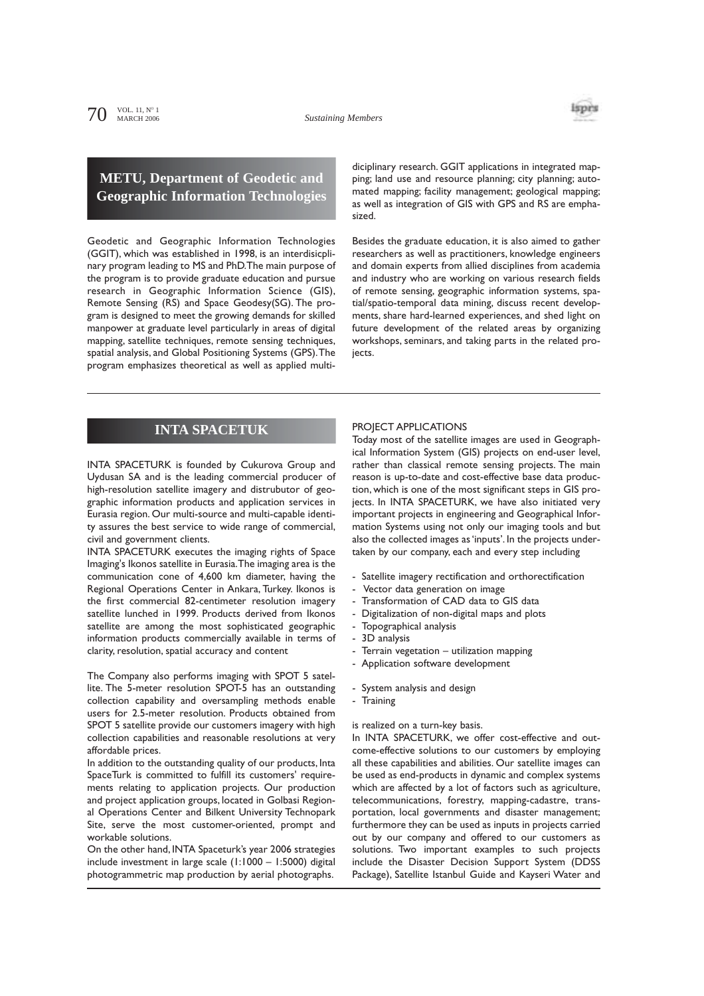isprs

# **METU, Department of Geodetic and Geographic Information Technologies**

Geodetic and Geographic Information Technologies (GGIT), which was established in 1998, is an interdisicplinary program leading to MS and PhD.The main purpose of the program is to provide graduate education and pursue research in Geographic Information Science (GIS), Remote Sensing (RS) and Space Geodesy(SG). The program is designed to meet the growing demands for skilled manpower at graduate level particularly in areas of digital mapping, satellite techniques, remote sensing techniques, spatial analysis, and Global Positioning Systems (GPS).The program emphasizes theoretical as well as applied multidiciplinary research. GGIT applications in integrated mapping; land use and resource planning; city planning; automated mapping; facility management; geological mapping; as well as integration of GIS with GPS and RS are emphasized.

Besides the graduate education, it is also aimed to gather researchers as well as practitioners, knowledge engineers and domain experts from allied disciplines from academia and industry who are working on various research fields of remote sensing, geographic information systems, spatial/spatio-temporal data mining, discuss recent developments, share hard-learned experiences, and shed light on future development of the related areas by organizing workshops, seminars, and taking parts in the related projects.

# **INTA SPACETUK**

INTA SPACETURK is founded by Cukurova Group and Uydusan SA and is the leading commercial producer of high-resolution satellite imagery and distrubutor of geographic information products and application services in Eurasia region. Our multi-source and multi-capable identity assures the best service to wide range of commercial, civil and government clients.

INTA SPACETURK executes the imaging rights of Space Imaging's Ikonos satellite in Eurasia.The imaging area is the communication cone of 4,600 km diameter, having the Regional Operations Center in Ankara, Turkey. Ikonos is the first commercial 82-centimeter resolution imagery satellite lunched in 1999. Products derived from Ikonos satellite are among the most sophisticated geographic information products commercially available in terms of clarity, resolution, spatial accuracy and content

The Company also performs imaging with SPOT 5 satellite. The 5-meter resolution SPOT-5 has an outstanding collection capability and oversampling methods enable users for 2.5-meter resolution. Products obtained from SPOT 5 satellite provide our customers imagery with high collection capabilities and reasonable resolutions at very affordable prices.

In addition to the outstanding quality of our products, Inta SpaceTurk is committed to fulfill its customers' requirements relating to application projects. Our production and project application groups, located in Golbasi Regional Operations Center and Bilkent University Technopark Site, serve the most customer-oriented, prompt and workable solutions.

On the other hand, INTA Spaceturk's year 2006 strategies include investment in large scale (1:1000 – 1:5000) digital photogrammetric map production by aerial photographs.

### PROJECT APPLICATIONS

Today most of the satellite images are used in Geographical Information System (GIS) projects on end-user level, rather than classical remote sensing projects. The main reason is up-to-date and cost-effective base data production, which is one of the most significant steps in GIS projects. In INTA SPACETURK, we have also initiated very important projects in engineering and Geographical Information Systems using not only our imaging tools and but also the collected images as 'inputs'. In the projects undertaken by our company, each and every step including

- Satellite imagery rectification and orthorectification
- Vector data generation on image
- Transformation of CAD data to GIS data
- Digitalization of non-digital maps and plots
- Topographical analysis
- 3D analysis
- Terrain vegetation utilization mapping
- Application software development
- System analysis and design
- Training

### is realized on a turn-key basis.

In INTA SPACETURK, we offer cost-effective and outcome-effective solutions to our customers by employing all these capabilities and abilities. Our satellite images can be used as end-products in dynamic and complex systems which are affected by a lot of factors such as agriculture, telecommunications, forestry, mapping-cadastre, transportation, local governments and disaster management; furthermore they can be used as inputs in projects carried out by our company and offered to our customers as solutions. Two important examples to such projects include the Disaster Decision Support System (DDSS Package), Satellite Istanbul Guide and Kayseri Water and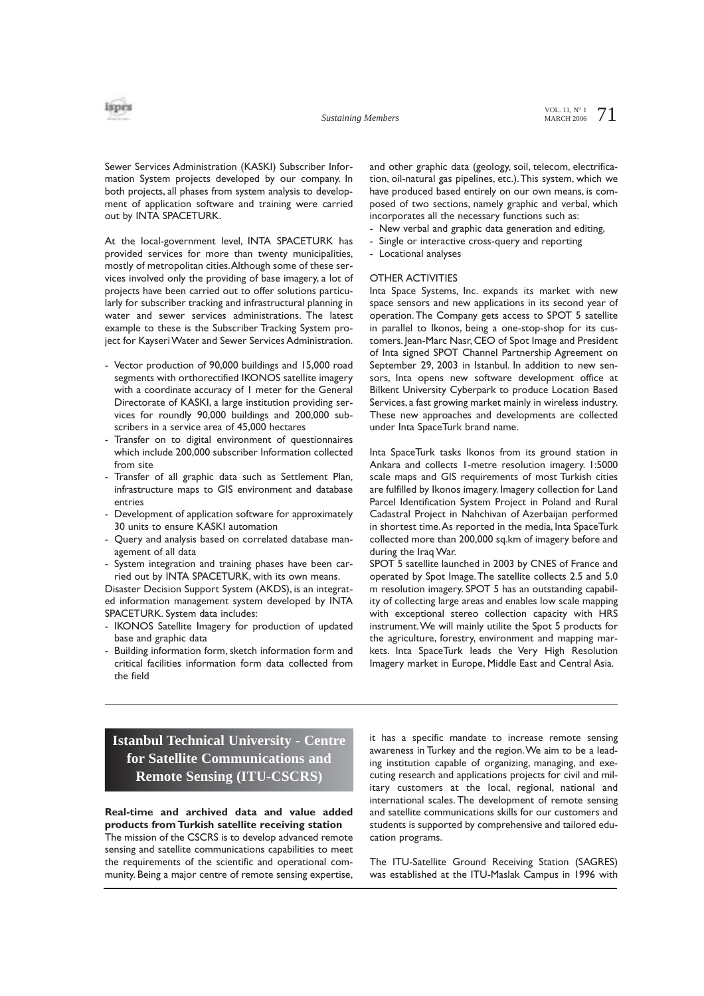

Sewer Services Administration (KASKI) Subscriber Information System projects developed by our company. In both projects, all phases from system analysis to development of application software and training were carried out by INTA SPACETURK.

At the local-government level, INTA SPACETURK has provided services for more than twenty municipalities, mostly of metropolitan cities.Although some of these services involved only the providing of base imagery, a lot of projects have been carried out to offer solutions particularly for subscriber tracking and infrastructural planning in water and sewer services administrations. The latest example to these is the Subscriber Tracking System project for Kayseri Water and Sewer Services Administration.

- Vector production of 90,000 buildings and 15,000 road segments with orthorectified IKONOS satellite imagery with a coordinate accuracy of 1 meter for the General Directorate of KASKI, a large institution providing services for roundly 90,000 buildings and 200,000 subscribers in a service area of 45,000 hectares
- Transfer on to digital environment of questionnaires which include 200,000 subscriber Information collected from site
- Transfer of all graphic data such as Settlement Plan, infrastructure maps to GIS environment and database entries
- Development of application software for approximately 30 units to ensure KASKI automation
- Query and analysis based on correlated database management of all data
- System integration and training phases have been carried out by INTA SPACETURK, with its own means.

Disaster Decision Support System (AKDS), is an integrated information management system developed by INTA SPACETURK. System data includes:

- IKONOS Satellite Imagery for production of updated base and graphic data
- Building information form, sketch information form and critical facilities information form data collected from the field

and other graphic data (geology, soil, telecom, electrification, oil-natural gas pipelines, etc.).This system, which we have produced based entirely on our own means, is composed of two sections, namely graphic and verbal, which incorporates all the necessary functions such as:

- New verbal and graphic data generation and editing,
- Single or interactive cross-query and reporting
- Locational analyses

### OTHER ACTIVITIES

Inta Space Systems, Inc. expands its market with new space sensors and new applications in its second year of operation. The Company gets access to SPOT 5 satellite in parallel to Ikonos, being a one-stop-shop for its customers. Jean-Marc Nasr, CEO of Spot Image and President of Inta signed SPOT Channel Partnership Agreement on September 29, 2003 in Istanbul. In addition to new sensors, Inta opens new software development office at Bilkent University Cyberpark to produce Location Based Services, a fast growing market mainly in wireless industry. These new approaches and developments are collected under Inta SpaceTurk brand name.

Inta SpaceTurk tasks Ikonos from its ground station in Ankara and collects 1-metre resolution imagery. 1:5000 scale maps and GIS requirements of most Turkish cities are fulfilled by Ikonos imagery. Imagery collection for Land Parcel Identification System Project in Poland and Rural Cadastral Project in Nahchivan of Azerbaijan performed in shortest time.As reported in the media, Inta SpaceTurk collected more than 200,000 sq.km of imagery before and during the Iraq War.

SPOT 5 satellite launched in 2003 by CNES of France and operated by Spot Image.The satellite collects 2.5 and 5.0 m resolution imagery. SPOT 5 has an outstanding capability of collecting large areas and enables low scale mapping with exceptional stereo collection capacity with HRS instrument.We will mainly utilite the Spot 5 products for the agriculture, forestry, environment and mapping markets. Inta SpaceTurk leads the Very High Resolution Imagery market in Europe, Middle East and Central Asia.

# **Istanbul Technical University - Centre for Satellite Communications and Remote Sensing (ITU-CSCRS)**

**Real-time and archived data and value added products from Turkish satellite receiving station** The mission of the CSCRS is to develop advanced remote sensing and satellite communications capabilities to meet the requirements of the scientific and operational community. Being a major centre of remote sensing expertise,

it has a specific mandate to increase remote sensing awareness in Turkey and the region.We aim to be a leading institution capable of organizing, managing, and executing research and applications projects for civil and military customers at the local, regional, national and international scales. The development of remote sensing and satellite communications skills for our customers and students is supported by comprehensive and tailored education programs.

The ITU-Satellite Ground Receiving Station (SAGRES) was established at the ITU-Maslak Campus in 1996 with